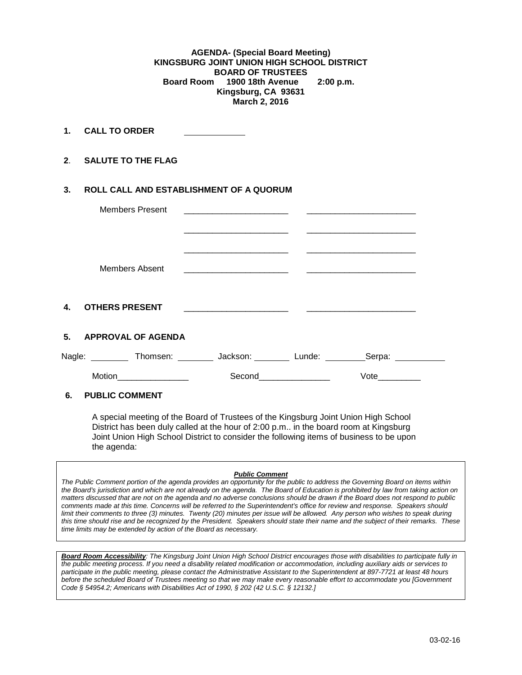**AGENDA- (Special Board Meeting) KINGSBURG JOINT UNION HIGH SCHOOL DISTRICT BOARD OF TRUSTEES**<br>Board Room 1900 18th Avenue  **Board Room 1900 18th Avenue 2:00 p.m. Kingsburg, CA 93631 March 2, 2016**

**1. CALL TO ORDER** 

**2**. **SALUTE TO THE FLAG**

## **3. ROLL CALL AND ESTABLISHMENT OF A QUORUM**

| Members Present                                                                            |                                                                  |             |  |
|--------------------------------------------------------------------------------------------|------------------------------------------------------------------|-------------|--|
|                                                                                            |                                                                  |             |  |
| Members Absent                                                                             |                                                                  |             |  |
| $\mathbf{4}$<br><b>OTHERS PRESENT</b>                                                      | <u> 2000 - Jan James James Barnett, fransk politik (d. 1982)</u> |             |  |
| 5. APPROVAL OF AGENDA                                                                      |                                                                  |             |  |
| Nagle: ___________ Thomsen: _________ Jackson: _________ Lunde: __________Serpa: _________ |                                                                  |             |  |
|                                                                                            | Second_______________                                            | <b>Vote</b> |  |
| 6.<br><b>PUBLIC COMMENT</b>                                                                |                                                                  |             |  |

A special meeting of the Board of Trustees of the Kingsburg Joint Union High School District has been duly called at the hour of 2:00 p.m.. in the board room at Kingsburg Joint Union High School District to consider the following items of business to be upon the agenda:

#### *Public Comment*

*The Public Comment portion of the agenda provides an opportunity for the public to address the Governing Board on items within the Board's jurisdiction and which are not already on the agenda. The Board of Education is prohibited by law from taking action on matters discussed that are not on the agenda and no adverse conclusions should be drawn if the Board does not respond to public comments made at this time. Concerns will be referred to the Superintendent's office for review and response. Speakers should limit their comments to three (3) minutes. Twenty (20) minutes per issue will be allowed. Any person who wishes to speak during this time should rise and be recognized by the President. Speakers should state their name and the subject of their remarks. These time limits may be extended by action of the Board as necessary.*

*Board Room Accessibility: The Kingsburg Joint Union High School District encourages those with disabilities to participate fully in the public meeting process. If you need a disability related modification or accommodation, including auxiliary aids or services to participate in the public meeting, please contact the Administrative Assistant to the Superintendent at 897-7721 at least 48 hours before the scheduled Board of Trustees meeting so that we may make every reasonable effort to accommodate you [Government Code § 54954.2; Americans with Disabilities Act of 1990, § 202 (42 U.S.C. § 12132.]*